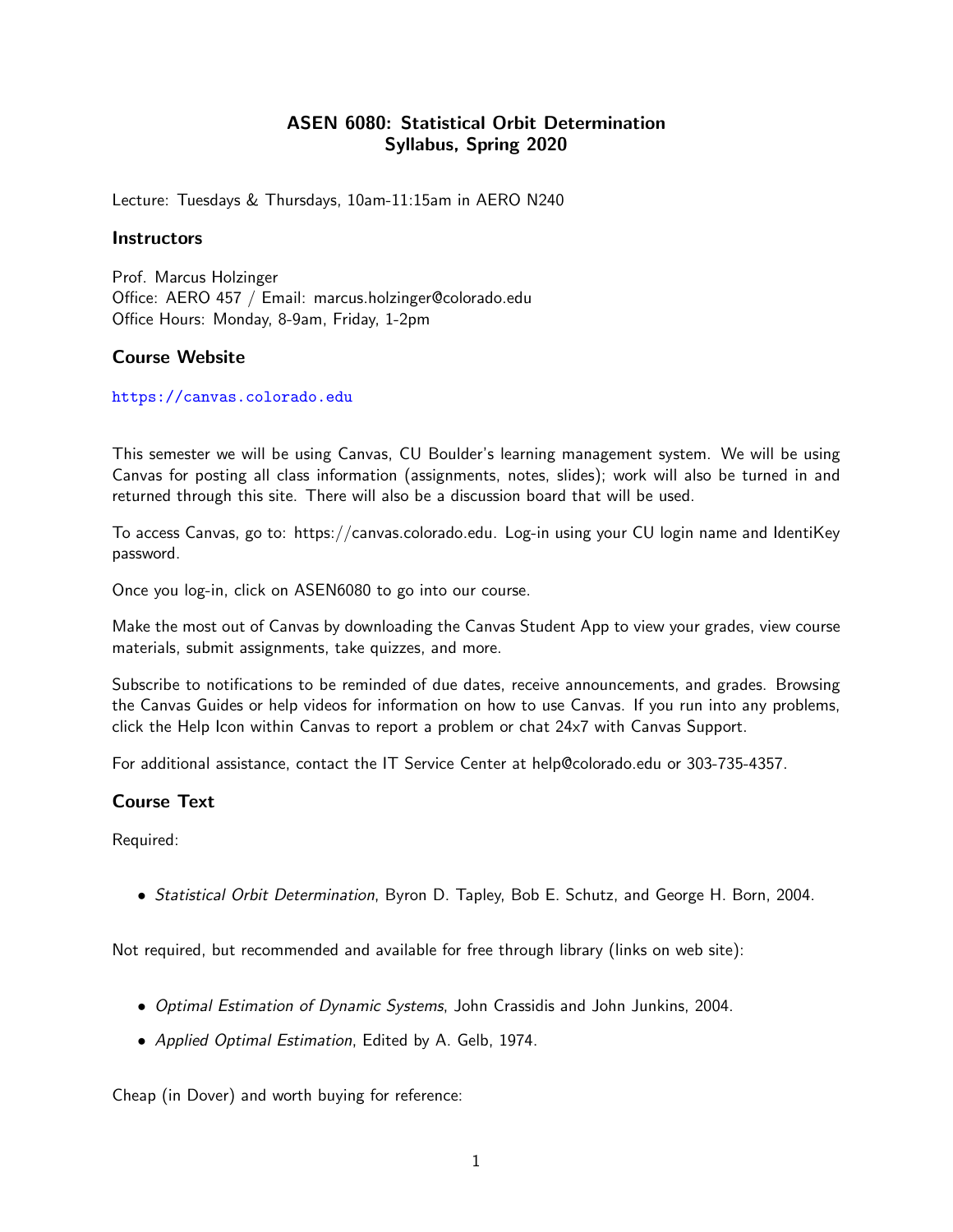# ASEN 6080: Statistical Orbit Determination Syllabus, Spring 2020

Lecture: Tuesdays & Thursdays, 10am-11:15am in AERO N240

#### **Instructors**

Prof. Marcus Holzinger Office: AERO 457 / Email: marcus.holzinger@colorado.edu Office Hours: Monday, 8-9am, Friday, 1-2pm

### Course Website

<https://canvas.colorado.edu>

This semester we will be using Canvas, CU Boulder's learning management system. We will be using Canvas for posting all class information (assignments, notes, slides); work will also be turned in and returned through this site. There will also be a discussion board that will be used.

To access Canvas, go to: https://canvas.colorado.edu. Log-in using your CU login name and IdentiKey password.

Once you log-in, click on ASEN6080 to go into our course.

Make the most out of Canvas by downloading the Canvas Student App to view your grades, view course materials, submit assignments, take quizzes, and more.

Subscribe to notifications to be reminded of due dates, receive announcements, and grades. Browsing the Canvas Guides or help videos for information on how to use Canvas. If you run into any problems, click the Help Icon within Canvas to report a problem or chat 24x7 with Canvas Support.

For additional assistance, contact the IT Service Center at help@colorado.edu or 303-735-4357.

## Course Text

Required:

• Statistical Orbit Determination, Byron D. Tapley, Bob E. Schutz, and George H. Born, 2004.

Not required, but recommended and available for free through library (links on web site):

- Optimal Estimation of Dynamic Systems, John Crassidis and John Junkins, 2004.
- Applied Optimal Estimation, Edited by A. Gelb, 1974.

Cheap (in Dover) and worth buying for reference: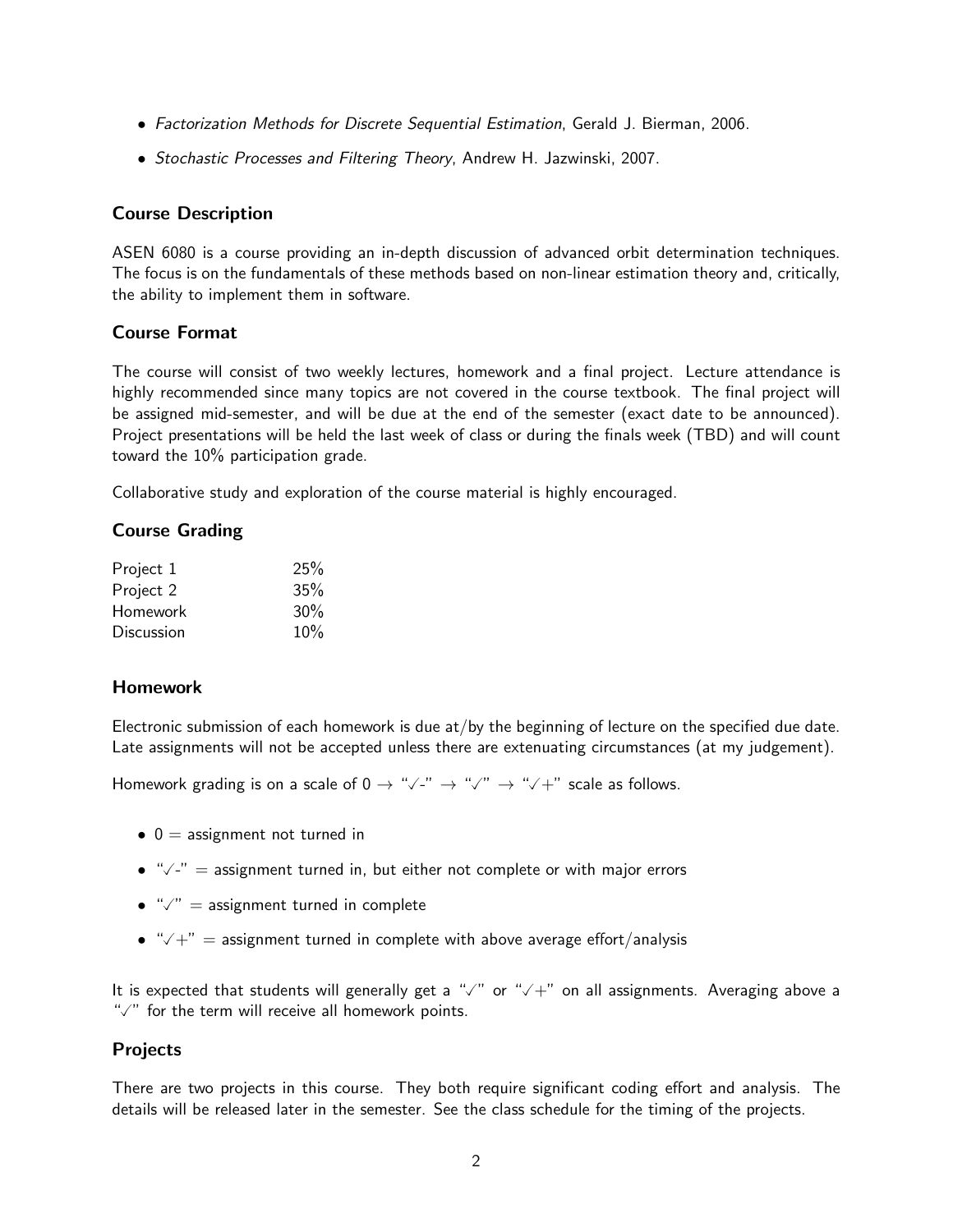- Factorization Methods for Discrete Sequential Estimation, Gerald J. Bierman, 2006.
- Stochastic Processes and Filtering Theory, Andrew H. Jazwinski, 2007.

# Course Description

ASEN 6080 is a course providing an in-depth discussion of advanced orbit determination techniques. The focus is on the fundamentals of these methods based on non-linear estimation theory and, critically, the ability to implement them in software.

# Course Format

The course will consist of two weekly lectures, homework and a final project. Lecture attendance is highly recommended since many topics are not covered in the course textbook. The final project will be assigned mid-semester, and will be due at the end of the semester (exact date to be announced). Project presentations will be held the last week of class or during the finals week (TBD) and will count toward the 10% participation grade.

Collaborative study and exploration of the course material is highly encouraged.

# Course Grading

| Project 1  | 25% |
|------------|-----|
| Project 2  | 35% |
| Homework   | 30% |
| Discussion | 10% |

## Homework

Electronic submission of each homework is due at/by the beginning of lecture on the specified due date. Late assignments will not be accepted unless there are extenuating circumstances (at my judgement).

Homework grading is on a scale of 0 <sup>→</sup> "-" <sup>→</sup> "" <sup>→</sup> "+" scale as follows.

- $\bullet$  0 = assignment not turned in
- $\bullet$  " $\checkmark$ -" = assignment turned in, but either not complete or with major errors
- $\bullet$  " $\checkmark$ " = assignment turned in complete
- $\sqrt{a^2 + b^2}$  = assignment turned in complete with above average effort/analysis

It is expected that students will generally get a " $\sqrt{ }$ " or " $\sqrt{+}$ " on all assignments. Averaging above a " $\sqrt{ }$ " for the term will receive all homework points.

## Projects

There are two projects in this course. They both require significant coding effort and analysis. The details will be released later in the semester. See the class schedule for the timing of the projects.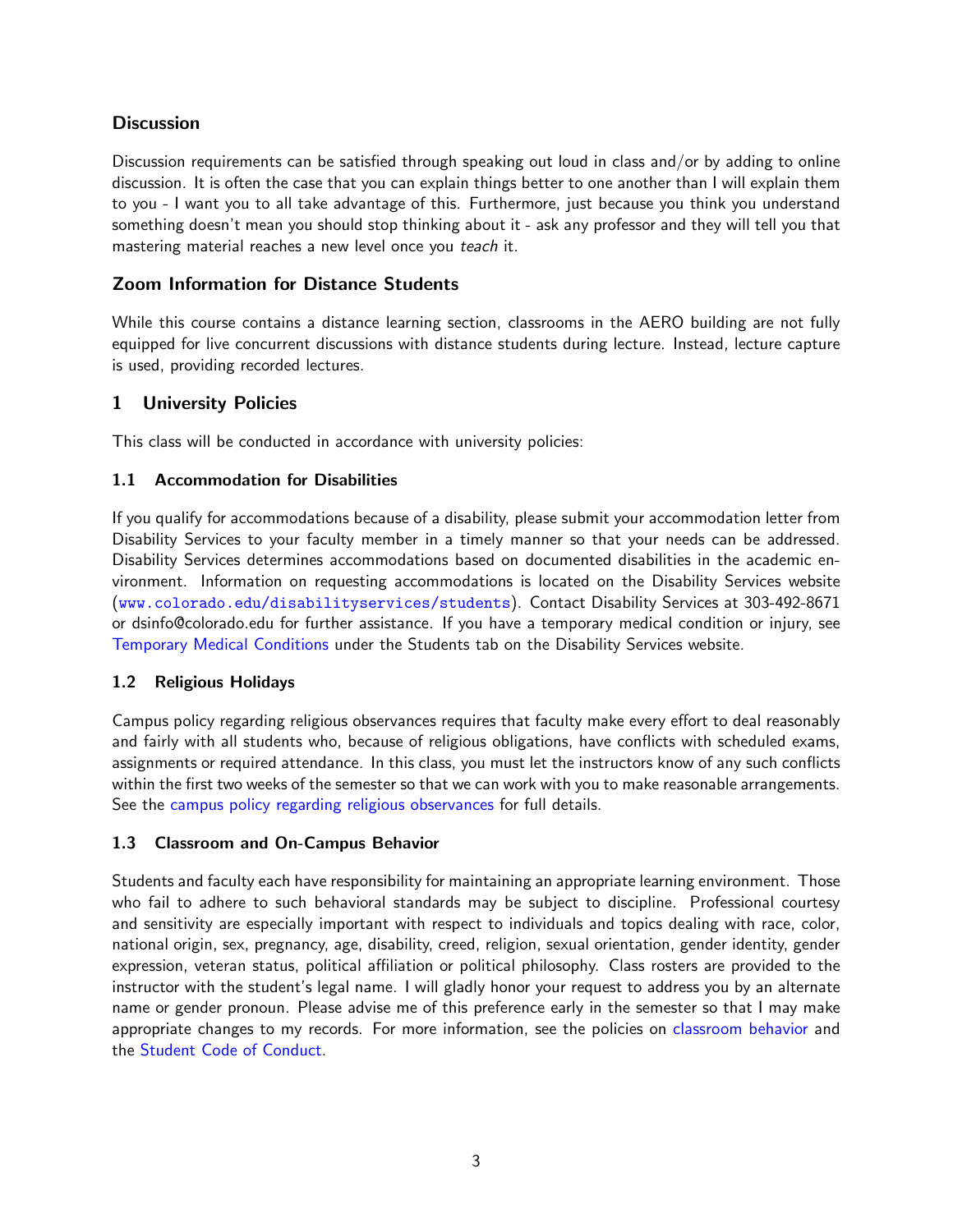# **Discussion**

Discussion requirements can be satisfied through speaking out loud in class and/or by adding to online discussion. It is often the case that you can explain things better to one another than I will explain them to you - I want you to all take advantage of this. Furthermore, just because you think you understand something doesn't mean you should stop thinking about it - ask any professor and they will tell you that mastering material reaches a new level once you teach it.

# Zoom Information for Distance Students

While this course contains a distance learning section, classrooms in the AERO building are not fully equipped for live concurrent discussions with distance students during lecture. Instead, lecture capture is used, providing recorded lectures.

# 1 University Policies

This class will be conducted in accordance with university policies:

## 1.1 Accommodation for Disabilities

If you qualify for accommodations because of a disability, please submit your accommodation letter from Disability Services to your faculty member in a timely manner so that your needs can be addressed. Disability Services determines accommodations based on documented disabilities in the academic environment. Information on requesting accommodations is located on the Disability Services website (<www.colorado.edu/disabilityservices/students>). Contact Disability Services at 303-492-8671 or dsinfo@colorado.edu for further assistance. If you have a temporary medical condition or injury, see [Temporary Medical Conditions](http://www.colorado.edu/disabilityservices/students/temporary-medical-conditions) under the Students tab on the Disability Services website.

## 1.2 Religious Holidays

Campus policy regarding religious observances requires that faculty make every effort to deal reasonably and fairly with all students who, because of religious obligations, have conflicts with scheduled exams, assignments or required attendance. In this class, you must let the instructors know of any such conflicts within the first two weeks of the semester so that we can work with you to make reasonable arrangements. See the [campus policy regarding religious observances](http://www.colorado.edu/policies/observance-religious-holidays-and-absences-classes-andor-exams) for full details.

## 1.3 Classroom and On-Campus Behavior

Students and faculty each have responsibility for maintaining an appropriate learning environment. Those who fail to adhere to such behavioral standards may be subject to discipline. Professional courtesy and sensitivity are especially important with respect to individuals and topics dealing with race, color, national origin, sex, pregnancy, age, disability, creed, religion, sexual orientation, gender identity, gender expression, veteran status, political affiliation or political philosophy. Class rosters are provided to the instructor with the student's legal name. I will gladly honor your request to address you by an alternate name or gender pronoun. Please advise me of this preference early in the semester so that I may make appropriate changes to my records. For more information, see the policies on [classroom behavior](http://www.colorado.edu/policies/student-classroom-and-course-related-behavior) and the [Student Code of Conduct.](http://www.colorado.edu/osccr/)